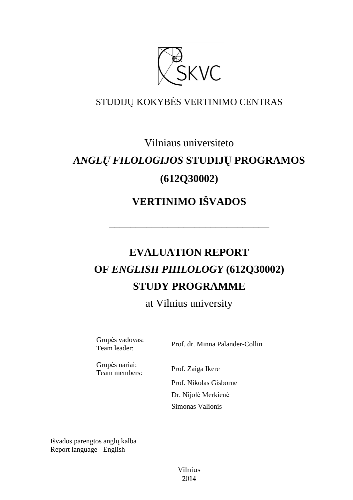

## STUDIJŲ KOKYBĖS VERTINIMO CENTRAS

## Vilniaus universiteto

# *ANGLŲ FILOLOGIJOS* **STUDIJŲ PROGRAMOS (612Q30002)**

# **VERTINIMO IŠVADOS**

––––––––––––––––––––––––––––––

# **EVALUATION REPORT OF** *ENGLISH PHILOLOGY* **(612Q30002) STUDY PROGRAMME**

at Vilnius university

Grupės vadovas:<br>Team leader:

Prof. dr. Minna Palander-Collin

Grupės nariai: Team members: Prof. Zaiga Ikere

Prof. Nikolas Gisborne

 Dr. Nijolė Merkienė Simonas Valionis

Išvados parengtos anglų kalba Report language - English

> Vilnius 2014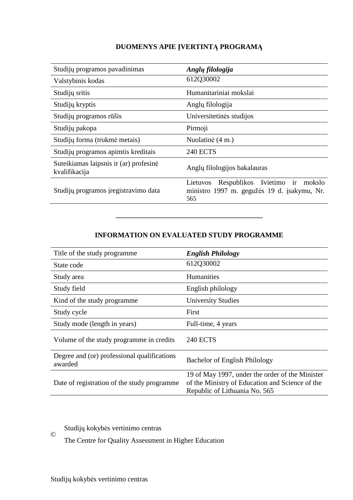#### **DUOMENYS APIE ĮVERTINTĄ PROGRAMĄ**

| Studijų programos pavadinimas                           | Anglų filologija                                                                                       |
|---------------------------------------------------------|--------------------------------------------------------------------------------------------------------|
| Valstybinis kodas                                       | 612Q30002                                                                                              |
| Studijų sritis                                          | Humanitariniai mokslai                                                                                 |
| Studijų kryptis                                         | Anglų filologija                                                                                       |
| Studijų programos rūšis                                 | Universitetinės studijos                                                                               |
| Studijų pakopa                                          | Pirmoji                                                                                                |
| Studijų forma (trukmė metais)                           | Nuolatinė (4 m.)                                                                                       |
| Studijų programos apimtis kreditais                     | <b>240 ECTS</b>                                                                                        |
| Suteikiamas laipsnis ir (ar) profesinė<br>kvalifikacija | Anglų filologijos bakalauras                                                                           |
| Studijų programos įregistravimo data                    | švietimo ir<br>Respublikos<br>mokslo<br>Lietuvos<br>ministro 1997 m. gegužės 19 d. įsakymu, Nr.<br>565 |

#### **INFORMATION ON EVALUATED STUDY PROGRAMME**

–––––––––––––––––––––––––––––––

| Title of the study programme                           | <b>English Philology</b>                                                                                                            |
|--------------------------------------------------------|-------------------------------------------------------------------------------------------------------------------------------------|
| State code                                             | 612Q30002                                                                                                                           |
| Study area                                             | <b>Humanities</b>                                                                                                                   |
| Study field                                            | English philology                                                                                                                   |
| Kind of the study programme                            | <b>University Studies</b>                                                                                                           |
| Study cycle                                            | First                                                                                                                               |
| Study mode (length in years)                           | Full-time, 4 years                                                                                                                  |
| Volume of the study programme in credits               | <b>240 ECTS</b>                                                                                                                     |
| Degree and (or) professional qualifications<br>awarded | Bachelor of English Philology                                                                                                       |
| Date of registration of the study programme.           | 19 of May 1997, under the order of the Minister<br>of the Ministry of Education and Science of the<br>Republic of Lithuania No. 565 |

Studijų kokybės vertinimo centras ©

The Centre for Quality Assessment in Higher Education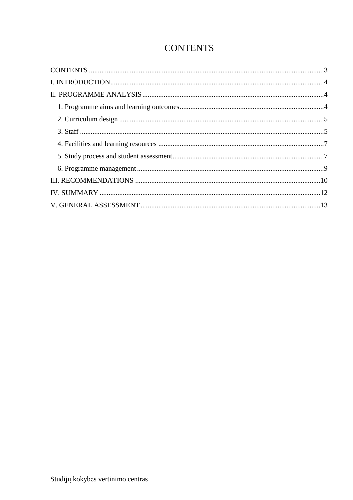### **CONTENTS**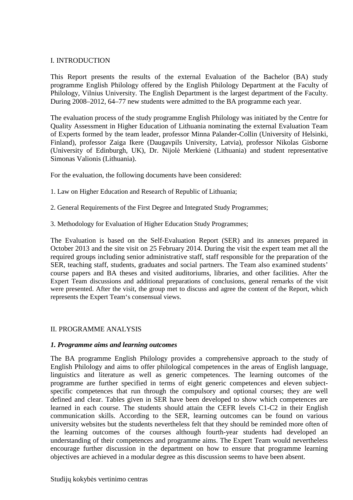#### I. INTRODUCTION

This Report presents the results of the external Evaluation of the Bachelor (BA) study programme English Philology offered by the English Philology Department at the Faculty of Philology, Vilnius University. The English Department is the largest department of the Faculty. During 2008–2012, 64–77 new students were admitted to the BA programme each year.

The evaluation process of the study programme English Philology was initiated by the Centre for Quality Assessment in Higher Education of Lithuania nominating the external Evaluation Team of Experts formed by the team leader, professor Minna Palander-Collin (University of Helsinki, Finland), professor Zaiga Ikere (Daugavpils University, Latvia), professor Nikolas Gisborne (University of Edinburgh, UK), Dr. Nijolė Merkienė (Lithuania) and student representative Simonas Valionis (Lithuania).

For the evaluation, the following documents have been considered:

- 1. Law on Higher Education and Research of Republic of Lithuania;
- 2. General Requirements of the First Degree and Integrated Study Programmes;
- 3. Methodology for Evaluation of Higher Education Study Programmes;

The Evaluation is based on the Self-Evaluation Report (SER) and its annexes prepared in October 2013 and the site visit on 25 February 2014. During the visit the expert team met all the required groups including senior administrative staff, staff responsible for the preparation of the SER, teaching staff, students, graduates and social partners. The Team also examined students' course papers and BA theses and visited auditoriums, libraries, and other facilities. After the Expert Team discussions and additional preparations of conclusions, general remarks of the visit were presented. After the visit, the group met to discuss and agree the content of the Report, which represents the Expert Team's consensual views.

#### II. PROGRAMME ANALYSIS

#### *1. Programme aims and learning outcomes*

The BA programme English Philology provides a comprehensive approach to the study of English Philology and aims to offer philological competences in the areas of English language, linguistics and literature as well as generic competences. The learning outcomes of the programme are further specified in terms of eight generic competences and eleven subjectspecific competences that run through the compulsory and optional courses; they are well defined and clear. Tables given in SER have been developed to show which competences are learned in each course. The students should attain the CEFR levels C1-C2 in their English communication skills. According to the SER, learning outcomes can be found on various university websites but the students nevertheless felt that they should be reminded more often of the learning outcomes of the courses although fourth-year students had developed an understanding of their competences and programme aims. The Expert Team would nevertheless encourage further discussion in the department on how to ensure that programme learning objectives are achieved in a modular degree as this discussion seems to have been absent.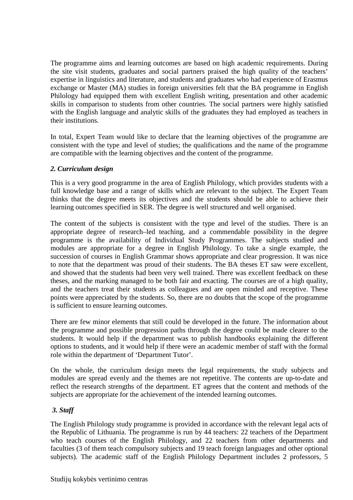The programme aims and learning outcomes are based on high academic requirements. During the site visit students, graduates and social partners praised the high quality of the teachers' expertise in linguistics and literature, and students and graduates who had experience of Erasmus exchange or Master (MA) studies in foreign universities felt that the BA programme in English Philology had equipped them with excellent English writing, presentation and other academic skills in comparison to students from other countries. The social partners were highly satisfied with the English language and analytic skills of the graduates they had employed as teachers in their institutions.

In total, Expert Team would like to declare that the learning objectives of the programme are consistent with the type and level of studies; the qualifications and the name of the programme are compatible with the learning objectives and the content of the programme.

#### *2. Curriculum design*

This is a very good programme in the area of English Philology, which provides students with a full knowledge base and a range of skills which are relevant to the subject. The Expert Team thinks that the degree meets its objectives and the students should be able to achieve their learning outcomes specified in SER. The degree is well structured and well organised.

The content of the subjects is consistent with the type and level of the studies. There is an appropriate degree of research–led teaching, and a commendable possibility in the degree programme is the availability of Individual Study Programmes. The subjects studied and modules are appropriate for a degree in English Philology. To take a single example, the succession of courses in English Grammar shows appropriate and clear progression. It was nice to note that the department was proud of their students. The BA theses ET saw were excellent, and showed that the students had been very well trained. There was excellent feedback on these theses, and the marking managed to be both fair and exacting. The courses are of a high quality, and the teachers treat their students as colleagues and are open minded and receptive. These points were appreciated by the students. So, there are no doubts that the scope of the programme is sufficient to ensure learning outcomes.

There are few minor elements that still could be developed in the future. The information about the programme and possible progression paths through the degree could be made clearer to the students. It would help if the department was to publish handbooks explaining the different options to students, and it would help if there were an academic member of staff with the formal role within the department of 'Department Tutor'.

On the whole, the curriculum design meets the legal requirements, the study subjects and modules are spread evenly and the themes are not repetitive. The contents are up-to-date and reflect the research strengths of the department. ET agrees that the content and methods of the subjects are appropriate for the achievement of the intended learning outcomes.

#### *3. Staff*

The English Philology study programme is provided in accordance with the relevant legal acts of the Republic of Lithuania. The programme is run by 44 teachers: 22 teachers of the Department who teach courses of the English Philology, and 22 teachers from other departments and faculties (3 of them teach compulsory subjects and 19 teach foreign languages and other optional subjects). The academic staff of the English Philology Department includes 2 professors, 5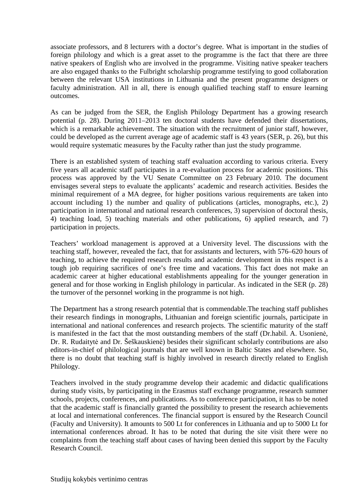associate professors, and 8 lecturers with a doctor's degree. What is important in the studies of foreign philology and which is a great asset to the programme is the fact that there are three native speakers of English who are involved in the programme. Visiting native speaker teachers are also engaged thanks to the Fulbright scholarship programme testifying to good collaboration between the relevant USA institutions in Lithuania and the present programme designers or faculty administration. All in all, there is enough qualified teaching staff to ensure learning outcomes.

As can be judged from the SER, the English Philology Department has a growing research potential (p. 28). During 2011–2013 ten doctoral students have defended their dissertations, which is a remarkable achievement. The situation with the recruitment of junior staff, however, could be developed as the current average age of academic staff is 43 years (SER, p. 26), but this would require systematic measures by the Faculty rather than just the study programme.

There is an established system of teaching staff evaluation according to various criteria. Every five years all academic staff participates in a re-evaluation process for academic positions. This process was approved by the VU Senate Committee on 23 February 2010. The document envisages several steps to evaluate the applicants' academic and research activities. Besides the minimal requirement of a MA degree, for higher positions various requirements are taken into account including 1) the number and quality of publications (articles, monographs, etc.), 2) participation in international and national research conferences, 3) supervision of doctoral thesis, 4) teaching load, 5) teaching materials and other publications, 6) applied research, and 7) participation in projects.

Teachers' workload management is approved at a University level. The discussions with the teaching staff, however, revealed the fact, that for assistants and lecturers, with 576–620 hours of teaching, to achieve the required research results and academic development in this respect is a tough job requiring sacrifices of one's free time and vacations. This fact does not make an academic career at higher educational establishments appealing for the younger generation in general and for those working in English philology in particular. As indicated in the SER (p. 28) the turnover of the personnel working in the programme is not high.

The Department has a strong research potential that is commendable.The teaching staff publishes their research findings in monographs, Lithuanian and foreign scientific journals, participate in international and national conferences and research projects. The scientific maturity of the staff is manifested in the fact that the most outstanding members of the staff (Dr.habil. A. Usonienė, Dr. R. Rudaitytė and Dr. Šeškauskienė) besides their significant scholarly contributions are also editors-in-chief of philological journals that are well known in Baltic States and elsewhere. So, there is no doubt that teaching staff is highly involved in research directly related to English Philology.

Teachers involved in the study programme develop their academic and didactic qualifications during study visits, by participating in the Erasmus staff exchange programme, research summer schools, projects, conferences, and publications. As to conference participation, it has to be noted that the academic staff is financially granted the possibility to present the research achievements at local and international conferences. The financial support is ensured by the Research Council (Faculty and University). It amounts to 500 Lt for conferences in Lithuania and up to 5000 Lt for international conferences abroad. It has to be noted that during the site visit there were no complaints from the teaching staff about cases of having been denied this support by the Faculty Research Council.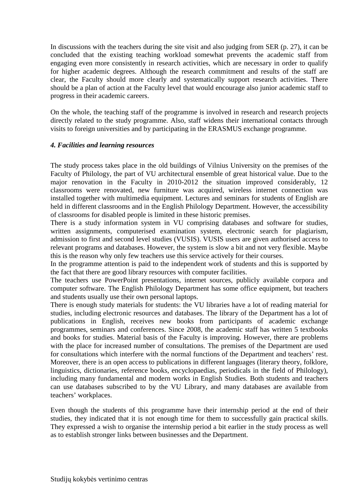In discussions with the teachers during the site visit and also judging from SER (p. 27), it can be concluded that the existing teaching workload somewhat prevents the academic staff from engaging even more consistently in research activities, which are necessary in order to qualify for higher academic degrees. Although the research commitment and results of the staff are clear, the Faculty should more clearly and systematically support research activities. There should be a plan of action at the Faculty level that would encourage also junior academic staff to progress in their academic careers.

On the whole, the teaching staff of the programme is involved in research and research projects directly related to the study programme. Also, staff widens their international contacts through visits to foreign universities and by participating in the ERASMUS exchange programme.

#### *4. Facilities and learning resources*

The study process takes place in the old buildings of Vilnius University on the premises of the Faculty of Philology, the part of VU architectural ensemble of great historical value. Due to the major renovation in the Faculty in 2010-2012 the situation improved considerably, 12 classrooms were renovated, new furniture was acquired, wireless internet connection was installed together with multimedia equipment. Lectures and seminars for students of English are held in different classrooms and in the English Philology Department. However, the accessibility of classrooms for disabled people is limited in these historic premises.

There is a study information system in VU comprising databases and software for studies, written assignments, computerised examination system, electronic search for plagiarism, admission to first and second level studies (VUSIS). VUSIS users are given authorised access to relevant programs and databases. However, the system is slow a bit and not very flexible. Maybe this is the reason why only few teachers use this service actively for their courses.

In the programme attention is paid to the independent work of students and this is supported by the fact that there are good library resources with computer facilities.

The teachers use PowerPoint presentations, internet sources, publicly available corpora and computer software. The English Philology Department has some office equipment, but teachers and students usually use their own personal laptops.

There is enough study materials for students: the VU libraries have a lot of reading material for studies, including electronic resources and databases. The library of the Department has a lot of publications in English, receives new books from participants of academic exchange programmes, seminars and conferences. Since 2008, the academic staff has written 5 textbooks and books for studies. Material basis of the Faculty is improving. However, there are problems with the place for increased number of consultations. The premises of the Department are used for consultations which interfere with the normal functions of the Department and teachers' rest. Moreover, there is an open access to publications in different languages (literary theory, folklore, linguistics, dictionaries, reference books, encyclopaedias, periodicals in the field of Philology), including many fundamental and modern works in English Studies. Both students and teachers can use databases subscribed to by the VU Library, and many databases are available from teachers' workplaces.

Even though the students of this programme have their internship period at the end of their studies, they indicated that it is not enough time for them to successfully gain practical skills. They expressed a wish to organise the internship period a bit earlier in the study process as well as to establish stronger links between businesses and the Department.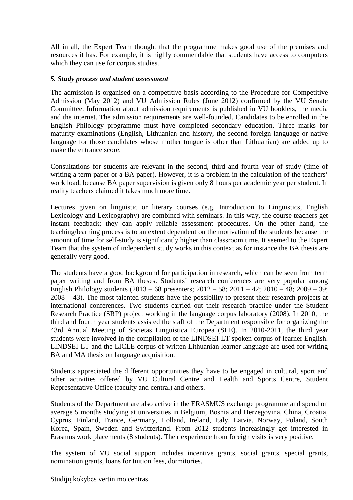All in all, the Expert Team thought that the programme makes good use of the premises and resources it has. For example, it is highly commendable that students have access to computers which they can use for corpus studies.

#### *5. Study process and student assessment*

The admission is organised on a competitive basis according to the Procedure for Competitive Admission (May 2012) and VU Admission Rules (June 2012) confirmed by the VU Senate Committee. Information about admission requirements is published in VU booklets, the media and the internet. The admission requirements are well-founded. Candidates to be enrolled in the English Philology programme must have completed secondary education. Three marks for maturity examinations (English, Lithuanian and history, the second foreign language or native language for those candidates whose mother tongue is other than Lithuanian) are added up to make the entrance score.

Consultations for students are relevant in the second, third and fourth year of study (time of writing a term paper or a BA paper). However, it is a problem in the calculation of the teachers' work load, because BA paper supervision is given only 8 hours per academic year per student. In reality teachers claimed it takes much more time.

Lectures given on linguistic or literary courses (e.g. Introduction to Linguistics, English Lexicology and Lexicography) are combined with seminars. In this way, the course teachers get instant feedback; they can apply reliable assessment procedures. On the other hand, the teaching/learning process is to an extent dependent on the motivation of the students because the amount of time for self-study is significantly higher than classroom time. It seemed to the Expert Team that the system of independent study works in this context as for instance the BA thesis are generally very good.

The students have a good background for participation in research, which can be seen from term paper writing and from BA theses. Students' research conferences are very popular among English Philology students (2013 – 68 presenters; 2012 – 58; 2011 – 42; 2010 – 48; 2009 – 39; 2008 – 43). The most talented students have the possibility to present their research projects at international conferences. Two students carried out their research practice under the Student Research Practice (SRP) project working in the language corpus laboratory (2008). In 2010, the third and fourth year students assisted the staff of the Department responsible for organizing the 43rd Annual Meeting of Societas Linguistica Europea (SLE). In 2010-2011, the third year students were involved in the compilation of the LINDSEI-LT spoken corpus of learner English. LINDSEI-LT and the LICLE corpus of written Lithuanian learner language are used for writing BA and MA thesis on language acquisition.

Students appreciated the different opportunities they have to be engaged in cultural, sport and other activities offered by VU Cultural Centre and Health and Sports Centre, Student Representative Office (faculty and central) and others.

Students of the Department are also active in the ERASMUS exchange programme and spend on average 5 months studying at universities in Belgium, Bosnia and Herzegovina, China, Croatia, Cyprus, Finland, France, Germany, Holland, Ireland, Italy, Latvia, Norway, Poland, South Korea, Spain, Sweden and Switzerland. From 2012 students increasingly get interested in Erasmus work placements (8 students). Their experience from foreign visits is very positive.

The system of VU social support includes incentive grants, social grants, special grants, nomination grants, loans for tuition fees, dormitories.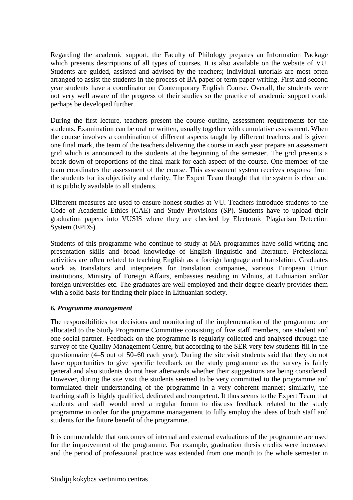Regarding the academic support, the Faculty of Philology prepares an Information Package which presents descriptions of all types of courses. It is also available on the website of VU. Students are guided, assisted and advised by the teachers; individual tutorials are most often arranged to assist the students in the process of BA paper or term paper writing. First and second year students have a coordinator on Contemporary English Course. Overall, the students were not very well aware of the progress of their studies so the practice of academic support could perhaps be developed further.

During the first lecture, teachers present the course outline, assessment requirements for the students. Examination can be oral or written, usually together with cumulative assessment. When the course involves a combination of different aspects taught by different teachers and is given one final mark, the team of the teachers delivering the course in each year prepare an assessment grid which is announced to the students at the beginning of the semester. The grid presents a break-down of proportions of the final mark for each aspect of the course. One member of the team coordinates the assessment of the course. This assessment system receives response from the students for its objectivity and clarity. The Expert Team thought that the system is clear and it is publicly available to all students.

Different measures are used to ensure honest studies at VU. Teachers introduce students to the Code of Academic Ethics (CAE) and Study Provisions (SP). Students have to upload their graduation papers into VUSIS where they are checked by Electronic Plagiarism Detection System (EPDS).

Students of this programme who continue to study at MA programmes have solid writing and presentation skills and broad knowledge of English linguistic and literature. Professional activities are often related to teaching English as a foreign language and translation. Graduates work as translators and interpreters for translation companies, various European Union institutions, Ministry of Foreign Affairs, embassies residing in Vilnius, at Lithuanian and/or foreign universities etc. The graduates are well-employed and their degree clearly provides them with a solid basis for finding their place in Lithuanian society.

#### *6. Programme management*

The responsibilities for decisions and monitoring of the implementation of the programme are allocated to the Study Programme Committee consisting of five staff members, one student and one social partner. Feedback on the programme is regularly collected and analysed through the survey of the Quality Management Centre, but according to the SER very few students fill in the questionnaire (4–5 out of 50–60 each year). During the site visit students said that they do not have opportunities to give specific feedback on the study programme as the survey is fairly general and also students do not hear afterwards whether their suggestions are being considered. However, during the site visit the students seemed to be very committed to the programme and formulated their understanding of the programme in a very coherent manner; similarly, the teaching staff is highly qualified, dedicated and competent. It thus seems to the Expert Team that students and staff would need a regular forum to discuss feedback related to the study programme in order for the programme management to fully employ the ideas of both staff and students for the future benefit of the programme.

It is commendable that outcomes of internal and external evaluations of the programme are used for the improvement of the programme. For example, graduation thesis credits were increased and the period of professional practice was extended from one month to the whole semester in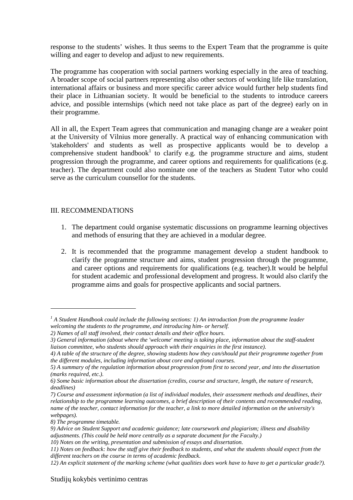response to the students' wishes. It thus seems to the Expert Team that the programme is quite willing and eager to develop and adjust to new requirements.

The programme has cooperation with social partners working especially in the area of teaching. A broader scope of social partners representing also other sectors of working life like translation, international affairs or business and more specific career advice would further help students find their place in Lithuanian society. It would be beneficial to the students to introduce careers advice, and possible internships (which need not take place as part of the degree) early on in their programme.

All in all, the Expert Team agrees that communication and managing change are a weaker point at the University of Vilnius more generally. A practical way of enhancing communication with 'stakeholders' and students as well as prospective applicants would be to develop a comprehensive student handbook<sup>1</sup> to clarify e.g. the programme structure and aims, student progression through the programme, and career options and requirements for qualifications (e.g. teacher). The department could also nominate one of the teachers as Student Tutor who could serve as the curriculum counsellor for the students.

#### III. RECOMMENDATIONS

- 1. The department could organise systematic discussions on programme learning objectives and methods of ensuring that they are achieved in a modular degree.
- 2. It is recommended that the programme management develop a student handbook to clarify the programme structure and aims, student progression through the programme, and career options and requirements for qualifications (e.g. teacher).It would be helpful for student academic and professional development and progress. It would also clarify the programme aims and goals for prospective applicants and social partners.

 $\overline{a}$ 

<sup>&</sup>lt;sup>1</sup> A Student Handbook could include the following sections: 1) An introduction from the programme leader *welcoming the students to the programme, and introducing him- or herself.* 

*<sup>2)</sup> Names of all staff involved, their contact details and their office hours.* 

*<sup>3)</sup> General information (about where the 'welcome' meeting is taking place, information about the staff-student liaison committee, who students should approach with their enquiries in the first instance).* 

*<sup>4)</sup> A table of the structure of the degree, showing students how they can/should put their programme together from the different modules, including information about core and optional courses.* 

*<sup>5)</sup> A summary of the regulation information about progression from first to second year, and into the dissertation (marks required, etc.).* 

*<sup>6)</sup> Some basic information about the dissertation (credits, course and structure, length, the nature of research, deadlines)* 

*<sup>7)</sup> Course and assessment information (a list of individual modules, their assessment methods and deadlines, their relationship to the programme learning outcomes, a brief description of their contents and recommended reading, name of the teacher, contact information for the teacher, a link to more detailed information on the university's webpages).* 

*<sup>8)</sup> The programme timetable.* 

*<sup>9)</sup> Advice on Student Support and academic guidance; late coursework and plagiarism; illness and disability adjustments. (This could be held more centrally as a separate document for the Faculty.)* 

*<sup>10)</sup> Notes on the writing, presentation and submission of essays and dissertation.* 

*<sup>11)</sup> Notes on feedback: how the staff give their feedback to students, and what the students should expect from the different teachers on the course in terms of academic feedback.* 

*<sup>12)</sup> An explicit statement of the marking scheme (what qualities does work have to have to get a particular grade?).*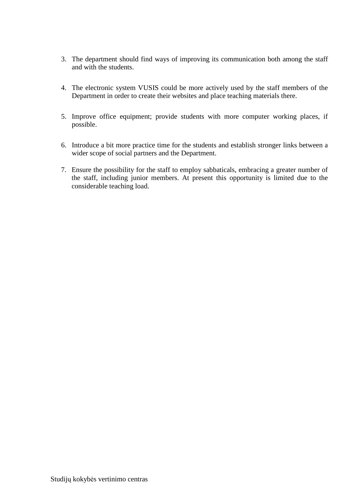- 3. The department should find ways of improving its communication both among the staff and with the students.
- 4. The electronic system VUSIS could be more actively used by the staff members of the Department in order to create their websites and place teaching materials there.
- 5. Improve office equipment; provide students with more computer working places, if possible.
- 6. Introduce a bit more practice time for the students and establish stronger links between a wider scope of social partners and the Department.
- 7. Ensure the possibility for the staff to employ sabbaticals, embracing a greater number of the staff, including junior members. At present this opportunity is limited due to the considerable teaching load.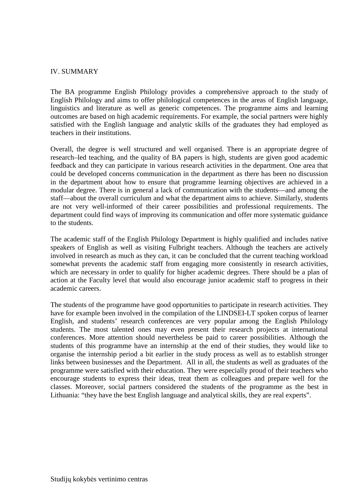#### IV. SUMMARY

The BA programme English Philology provides a comprehensive approach to the study of English Philology and aims to offer philological competences in the areas of English language, linguistics and literature as well as generic competences. The programme aims and learning outcomes are based on high academic requirements. For example, the social partners were highly satisfied with the English language and analytic skills of the graduates they had employed as teachers in their institutions.

Overall, the degree is well structured and well organised. There is an appropriate degree of research–led teaching, and the quality of BA papers is high, students are given good academic feedback and they can participate in various research activities in the department. One area that could be developed concerns communication in the department as there has been no discussion in the department about how to ensure that programme learning objectives are achieved in a modular degree. There is in general a lack of communication with the students—and among the staff—about the overall curriculum and what the department aims to achieve. Similarly, students are not very well-informed of their career possibilities and professional requirements. The department could find ways of improving its communication and offer more systematic guidance to the students.

The academic staff of the English Philology Department is highly qualified and includes native speakers of English as well as visiting Fulbright teachers. Although the teachers are actively involved in research as much as they can, it can be concluded that the current teaching workload somewhat prevents the academic staff from engaging more consistently in research activities, which are necessary in order to qualify for higher academic degrees. There should be a plan of action at the Faculty level that would also encourage junior academic staff to progress in their academic careers.

The students of the programme have good opportunities to participate in research activities. They have for example been involved in the compilation of the LINDSEI-LT spoken corpus of learner English, and students' research conferences are very popular among the English Philology students. The most talented ones may even present their research projects at international conferences. More attention should nevertheless be paid to career possibilities. Although the students of this programme have an internship at the end of their studies, they would like to organise the internship period a bit earlier in the study process as well as to establish stronger links between businesses and the Department. All in all, the students as well as graduates of the programme were satisfied with their education. They were especially proud of their teachers who encourage students to express their ideas, treat them as colleagues and prepare well for the classes. Moreover, social partners considered the students of the programme as the best in Lithuania: "they have the best English language and analytical skills, they are real experts".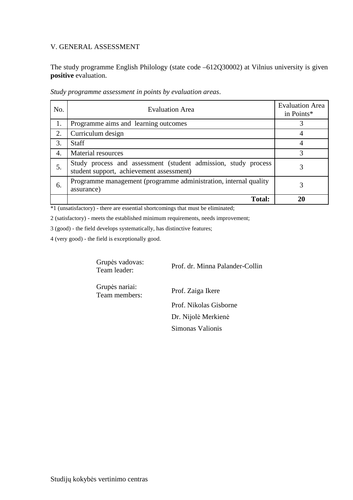#### V. GENERAL ASSESSMENT

The study programme English Philology (state code –612Q30002) at Vilnius university is given **positive** evaluation.

| No. | <b>Evaluation Area</b>                                                                                     | <b>Evaluation Area</b><br>in Points* |
|-----|------------------------------------------------------------------------------------------------------------|--------------------------------------|
| 1.  | Programme aims and learning outcomes                                                                       |                                      |
| 2.  | Curriculum design                                                                                          |                                      |
| 3.  | <b>Staff</b>                                                                                               |                                      |
| 4.  | Material resources                                                                                         | 3                                    |
| 5.  | Study process and assessment (student admission, study process<br>student support, achievement assessment) | 3                                    |
| 6.  | Programme management (programme administration, internal quality<br>assurance)                             |                                      |
|     | <b>Total:</b>                                                                                              |                                      |

*Study programme assessment in points by evaluation areas*.

\*1 (unsatisfactory) - there are essential shortcomings that must be eliminated;

2 (satisfactory) - meets the established minimum requirements, needs improvement;

3 (good) - the field develops systematically, has distinctive features;

4 (very good) - the field is exceptionally good.

Grupės vadovas:<br>Team leader:

Prof. dr. Minna Palander-Collin

Grupės nariai:

Prof. Zaiga Ikere Prof. Nikolas Gisborne Dr. Nijolė Merkienė Simonas Valionis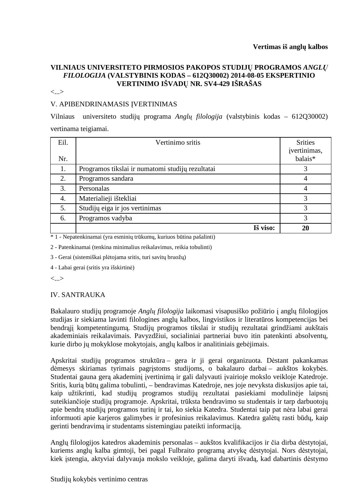#### **VILNIAUS UNIVERSITETO PIRMOSIOS PAKOPOS STUDIJŲ PROGRAMOS** *ANGLŲ FILOLOGIJA* **(VALSTYBINIS KODAS – 612Q30002) 2014-08-05 EKSPERTINIO VERTINIMO IŠVADŲ NR. SV4-429 IŠRAŠAS**

<...>

#### V. APIBENDRINAMASIS ĮVERTINIMAS

Vilniaus universiteto studijų programa *Anglų filologija* (valstybinis kodas – 612Q30002) vertinama teigiamai.

| Eil. | Vertinimo sritis                                 | <b>Srities</b>          |
|------|--------------------------------------------------|-------------------------|
| Nr.  |                                                  | ivertinimas,<br>balais* |
| 1.   | Programos tikslai ir numatomi studijų rezultatai | 3                       |
| 2.   | Programos sandara                                | 4                       |
| 3.   | Personalas                                       | 4                       |
| 4.   | Materialieji ištekliai                           | 3                       |
| 5.   | Studijų eiga ir jos vertinimas                   | 3                       |
| 6.   | Programos vadyba                                 | 3                       |
|      | Iš viso:                                         | 20                      |

\* 1 - Nepatenkinamai (yra esminių trūkumų, kuriuos būtina pašalinti)

2 - Patenkinamai (tenkina minimalius reikalavimus, reikia tobulinti)

3 - Gerai (sistemiškai plėtojama sritis, turi savitų bruožų)

4 - Labai gerai (sritis yra išskirtinė)

<...>

#### IV. SANTRAUKA

Bakalauro studijų programoje *Anglų filologija* laikomasi visapusiško požiūrio į anglų filologijos studijas ir siekiama lavinti filologines anglų kalbos, lingvistikos ir literatūros kompetencijas bei bendrąjį kompetentingumą. Studijų programos tikslai ir studijų rezultatai grindžiami aukštais akademiniais reikalavimais. Pavyzdžiui, socialiniai partneriai buvo itin patenkinti absolventų, kurie dirbo jų mokyklose mokytojais, anglų kalbos ir analitiniais gebėjimais.

Apskritai studijų programos struktūra – gera ir ji gerai organizuota. Dėstant pakankamas dėmesys skiriamas tyrimais pagrįstoms studijoms, o bakalauro darbai – aukštos kokybės. Studentai gauna gerą akademinį įvertinimą ir gali dalyvauti įvairioje mokslo veikloje Katedroje. Sritis, kurią būtų galima tobulinti, – bendravimas Katedroje, nes joje nevyksta diskusijos apie tai, kaip užtikrinti, kad studijų programos studijų rezultatai pasiekiami modulinėje laipsnį suteikiančioje studijų programoje. Apskritai, trūksta bendravimo su studentais ir tarp darbuotojų apie bendrą studijų programos turinį ir tai, ko siekia Katedra. Studentai taip pat nėra labai gerai informuoti apie karjeros galimybes ir profesinius reikalavimus. Katedra galėtų rasti būdų, kaip gerinti bendravimą ir studentams sistemingiau pateikti informaciją.

Anglų filologijos katedros akademinis personalas – aukštos kvalifikacijos ir čia dirba dėstytojai, kuriems anglų kalba gimtoji, bei pagal Fulbraito programą atvykę dėstytojai. Nors dėstytojai, kiek įstengia, aktyviai dalyvauja mokslo veikloje, galima daryti išvadą, kad dabartinis dėstymo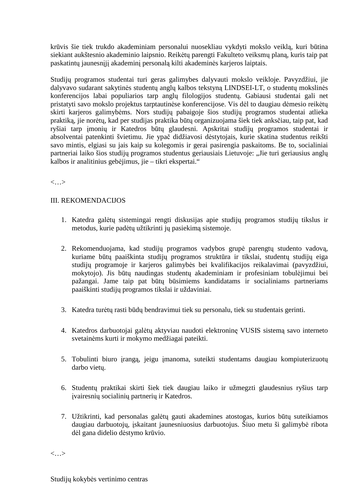krūvis šie tiek trukdo akademiniam personalui nuosekliau vykdyti mokslo veiklą, kuri būtina siekiant aukštesnio akademinio laipsnio. Reikėtų parengti Fakulteto veiksmų planą, kuris taip pat paskatintų jaunesnįjį akademinį personalą kilti akademinės karjeros laiptais.

Studijų programos studentai turi geras galimybes dalyvauti mokslo veikloje. Pavyzdžiui, jie dalyvavo sudarant sakytinės studentų anglų kalbos tekstyną LINDSEI-LT, o studentų mokslinės konferencijos labai populiarios tarp anglų filologijos studentų. Gabiausi studentai gali net pristatyti savo mokslo projektus tarptautinėse konferencijose. Vis dėl to daugiau dėmesio reikėtų skirti karjeros galimybėms. Nors studijų pabaigoje šios studijų programos studentai atlieka praktiką, jie norėtų, kad per studijas praktika būtų organizuojama šiek tiek anksčiau, taip pat, kad ryšiai tarp įmonių ir Katedros būtų glaudesni. Apskritai studijų programos studentai ir absolventai patenkinti švietimu. Jie ypač didžiavosi dėstytojais, kurie skatina studentus reikšti savo mintis, elgiasi su jais kaip su kolegomis ir gerai pasirengia paskaitoms. Be to, socialiniai partneriai laiko šios studijų programos studentus geriausiais Lietuvoje: "Jie turi geriausius anglų kalbos ir analitinius gebėjimus, jie – tikri ekspertai."

<…>

#### III. REKOMENDACIJOS

- 1. Katedra galėtų sistemingai rengti diskusijas apie studijų programos studijų tikslus ir metodus, kurie padėtų užtikrinti jų pasiekimą sistemoje.
- 2. Rekomenduojama, kad studijų programos vadybos grupė parengtų studento vadovą, kuriame būtų paaiškinta studijų programos struktūra ir tikslai, studentų studijų eiga studijų programoje ir karjeros galimybės bei kvalifikacijos reikalavimai (pavyzdžiui, mokytojo). Jis būtų naudingas studentų akademiniam ir profesiniam tobulėjimui bei pažangai. Jame taip pat būtų būsimiems kandidatams ir socialiniams partneriams paaiškinti studijų programos tikslai ir uždaviniai.
- 3. Katedra turėtų rasti būdų bendravimui tiek su personalu, tiek su studentais gerinti.
- 4. Katedros darbuotojai galėtų aktyviau naudoti elektroninę VUSIS sistemą savo interneto svetainėms kurti ir mokymo medžiagai pateikti.
- 5. Tobulinti biuro įrangą, jeigu įmanoma, suteikti studentams daugiau kompiuterizuotų darbo vietų.
- 6. Studentų praktikai skirti šiek tiek daugiau laiko ir užmegzti glaudesnius ryšius tarp įvairesnių socialinių partnerių ir Katedros.
- 7. Užtikrinti, kad personalas galėtų gauti akademines atostogas, kurios būtų suteikiamos daugiau darbuotojų, įskaitant jaunesniuosius darbuotojus. Šiuo metu ši galimybė ribota dėl gana didelio dėstymo krūvio.

<…>